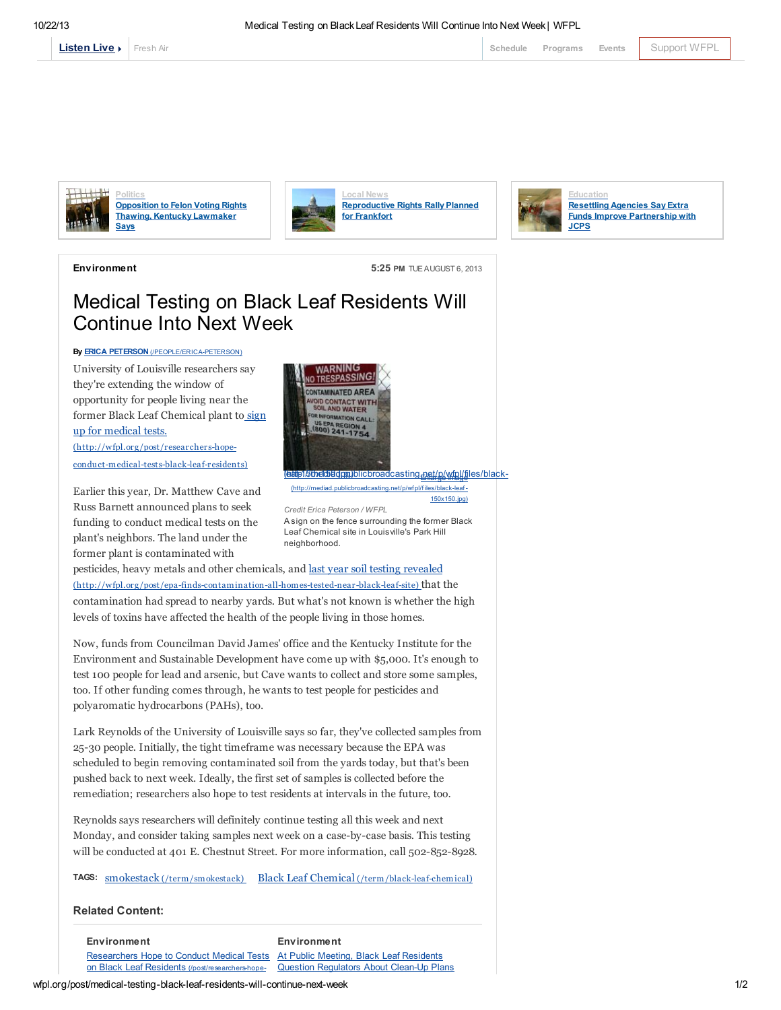

[Fresh](http://local.wfpl.org/stream.html) Air [Schedule](http://www.publicbroadcasting.net/wfpl/guide.guidemain) [Programs](http://wfpl.org/programs) [Events](http://www.publicbroadcasting.net/wfpl/events.eventsmain) [Support](https://louisvillepublicmedia.webconnex.com/contribute) WFPL



Politics [Opposition](http://wfpl.org/post/opposition-felon-voting-rights-thawing-kentucky-lawmaker-says) to Felon Voting Rights Thawing, Kentucky Lawmaker Says



[Reproductive](http://wfpl.org/post/reproductive-rights-rally-planned-frankfort) Rights Rally Planned for Frankfort



Environment 5:25 PM TUE AUGUST 6, 2013

## Medical Testing on Black Leaf Residents Will Continue Into Next Week

## By **ERICA PETERSON** [\(/PEOPLE/ERICA-PETERSON\)](http://wfpl.org/people/erica-peterson)

University of Louisville researchers say they're extending the window of opportunity for people living near the former Black Leaf Chemical plant to sign up for medical tests. (http://wfpl.org/post/researchers-hope-

[conduct-medical-tests-black-leaf-residents\)](http://wfpl.org/post/researchers-hope-conduct-medical-tests-black-leaf-residents)

Earlier this year, Dr. Matthew Cave and Russ Barnett announced plans to seek funding to conduct medical tests on the plant's neighbors. The land under the former plant is contaminated with



150x150.jpg) Credit Erica Peterson / WFPL A sign on the fence surrounding the former Black Leaf Chemical site in Louisville's Park Hill neighborhood.

pesticides, heavy metals and other chemicals, and last year soil testing revealed [\(http://wfpl.org/post/epa-finds-contamination-all-homes-tested-near-black-leaf-site\)](http://wfpl.org/post/epa-finds-contamination-all-homes-tested-near-black-leaf-site) that the contamination had spread to nearby yards. But what's not known is whether the high levels of toxins have affected the health of the people living in those homes.

Now, funds from Councilman David James' office and the Kentucky Institute for the Environment and Sustainable Development have come up with \$5,000. It's enough to test 100 people for lead and arsenic, but Cave wants to collect and store some samples, too. If other funding comes through, he wants to test people for pesticides and polyaromatic hydrocarbons (PAHs), too.

Lark Reynolds of the University of Louisville says so far, they've collected samples from 25-30 people. Initially, the tight timeframe was necessary because the EPA was scheduled to begin removing contaminated soil from the yards today, but that's been pushed back to next week. Ideally, the first set of samples is collected before the remediation; researchers also hope to test residents at intervals in the future, too.

Reynolds says researchers will definitely continue testing all this week and next Monday, and consider taking samples next week on a case-by-case basis. This testing will be conducted at 401 E. Chestnut Street. For more information, call 502-852-8928.

TAGS: smokestack [\(/term/smokestack\)](http://wfpl.org/term/smokestack) Black Leaf Chemical [\(/term/black-leaf-chemical\)](http://wfpl.org/term/black-leaf-chemical)

## Related Content:

**Environment** Researchers Hope to Conduct Medical Tests on Black Leaf Residents (/post/researchers-hope-**Environment** At Public Meeting, Black Leaf Residents Question Regulators About Clean-Up Plans